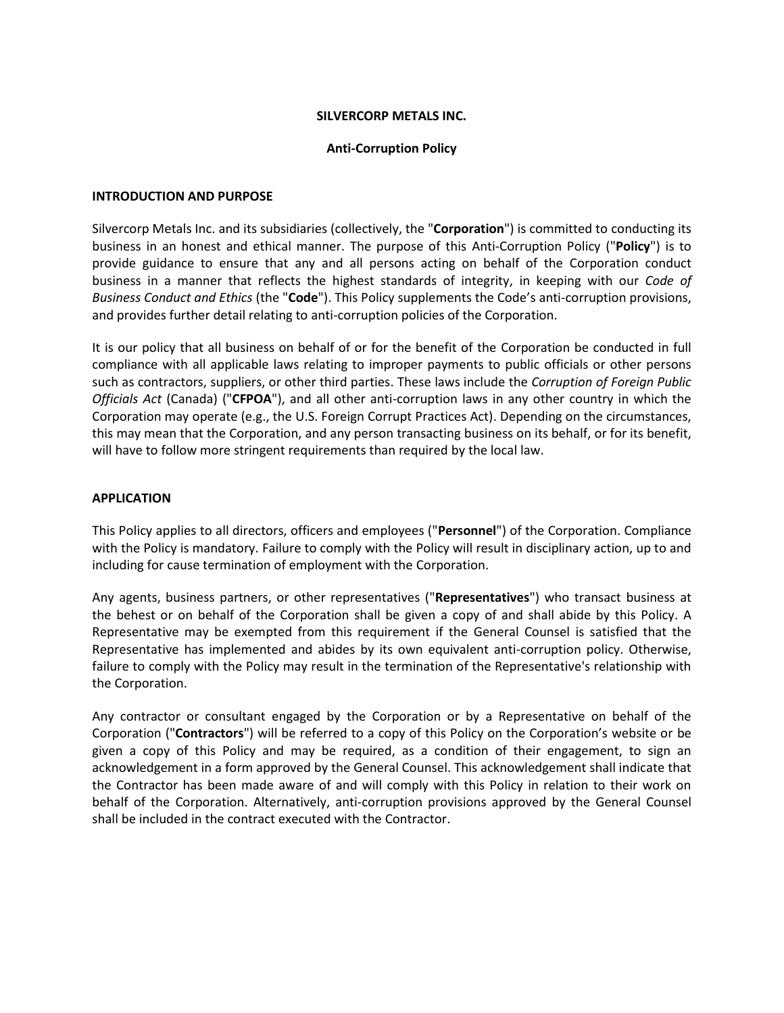## **SILVERCORP METALS INC.**

### **Anti-Corruption Policy**

### **INTRODUCTION AND PURPOSE**

Silvercorp Metals Inc. and its subsidiaries (collectively, the "**Corporation**") is committed to conducting its business in an honest and ethical manner. The purpose of this Anti-Corruption Policy ("**Policy**") is to provide guidance to ensure that any and all persons acting on behalf of the Corporation conduct business in a manner that reflects the highest standards of integrity, in keeping with our *Code of Business Conduct and Ethics* (the "**Code**"). This Policy supplements the Code's anti-corruption provisions, and provides further detail relating to anti-corruption policies of the Corporation.

It is our policy that all business on behalf of or for the benefit of the Corporation be conducted in full compliance with all applicable laws relating to improper payments to public officials or other persons such as contractors, suppliers, or other third parties. These laws include the *Corruption of Foreign Public Officials Act* (Canada) ("**CFPOA**"), and all other anti-corruption laws in any other country in which the Corporation may operate (e.g., the U.S. Foreign Corrupt Practices Act). Depending on the circumstances, this may mean that the Corporation, and any person transacting business on its behalf, or for its benefit, will have to follow more stringent requirements than required by the local law.

## **APPLICATION**

This Policy applies to all directors, officers and employees ("**Personnel**") of the Corporation. Compliance with the Policy is mandatory. Failure to comply with the Policy will result in disciplinary action, up to and including for cause termination of employment with the Corporation.

Any agents, business partners, or other representatives ("**Representatives**") who transact business at the behest or on behalf of the Corporation shall be given a copy of and shall abide by this Policy. A Representative may be exempted from this requirement if the General Counsel is satisfied that the Representative has implemented and abides by its own equivalent anti-corruption policy. Otherwise, failure to comply with the Policy may result in the termination of the Representative's relationship with the Corporation.

Any contractor or consultant engaged by the Corporation or by a Representative on behalf of the Corporation ("**Contractors**") will be referred to a copy of this Policy on the Corporation's website or be given a copy of this Policy and may be required, as a condition of their engagement, to sign an acknowledgement in a form approved by the General Counsel. This acknowledgement shall indicate that the Contractor has been made aware of and will comply with this Policy in relation to their work on behalf of the Corporation. Alternatively, anti-corruption provisions approved by the General Counsel shall be included in the contract executed with the Contractor.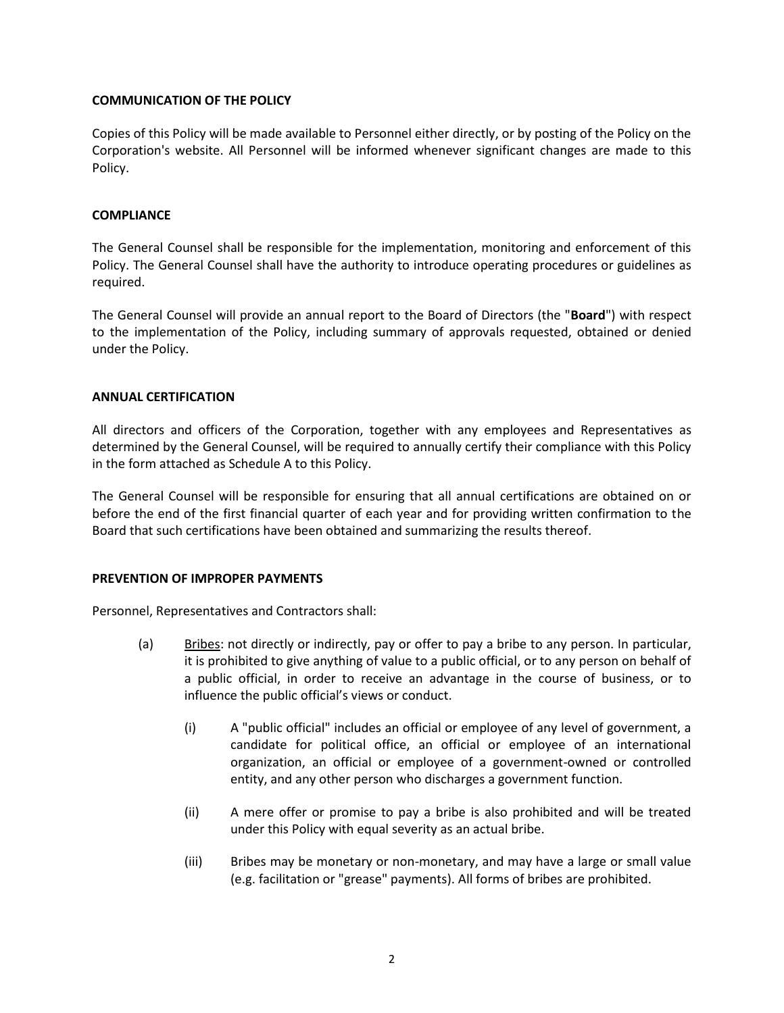# **COMMUNICATION OF THE POLICY**

Copies of this Policy will be made available to Personnel either directly, or by posting of the Policy on the Corporation's website. All Personnel will be informed whenever significant changes are made to this Policy.

### **COMPLIANCE**

The General Counsel shall be responsible for the implementation, monitoring and enforcement of this Policy. The General Counsel shall have the authority to introduce operating procedures or guidelines as required.

The General Counsel will provide an annual report to the Board of Directors (the "**Board**") with respect to the implementation of the Policy, including summary of approvals requested, obtained or denied under the Policy.

## **ANNUAL CERTIFICATION**

All directors and officers of the Corporation, together with any employees and Representatives as determined by the General Counsel, will be required to annually certify their compliance with this Policy in the form attached as Schedule A to this Policy.

The General Counsel will be responsible for ensuring that all annual certifications are obtained on or before the end of the first financial quarter of each year and for providing written confirmation to the Board that such certifications have been obtained and summarizing the results thereof.

### **PREVENTION OF IMPROPER PAYMENTS**

Personnel, Representatives and Contractors shall:

- (a) Bribes: not directly or indirectly, pay or offer to pay a bribe to any person. In particular, it is prohibited to give anything of value to a public official, or to any person on behalf of a public official, in order to receive an advantage in the course of business, or to influence the public official's views or conduct.
	- (i) A "public official" includes an official or employee of any level of government, a candidate for political office, an official or employee of an international organization, an official or employee of a government-owned or controlled entity, and any other person who discharges a government function.
	- (ii) A mere offer or promise to pay a bribe is also prohibited and will be treated under this Policy with equal severity as an actual bribe.
	- (iii) Bribes may be monetary or non-monetary, and may have a large or small value (e.g. facilitation or "grease" payments). All forms of bribes are prohibited.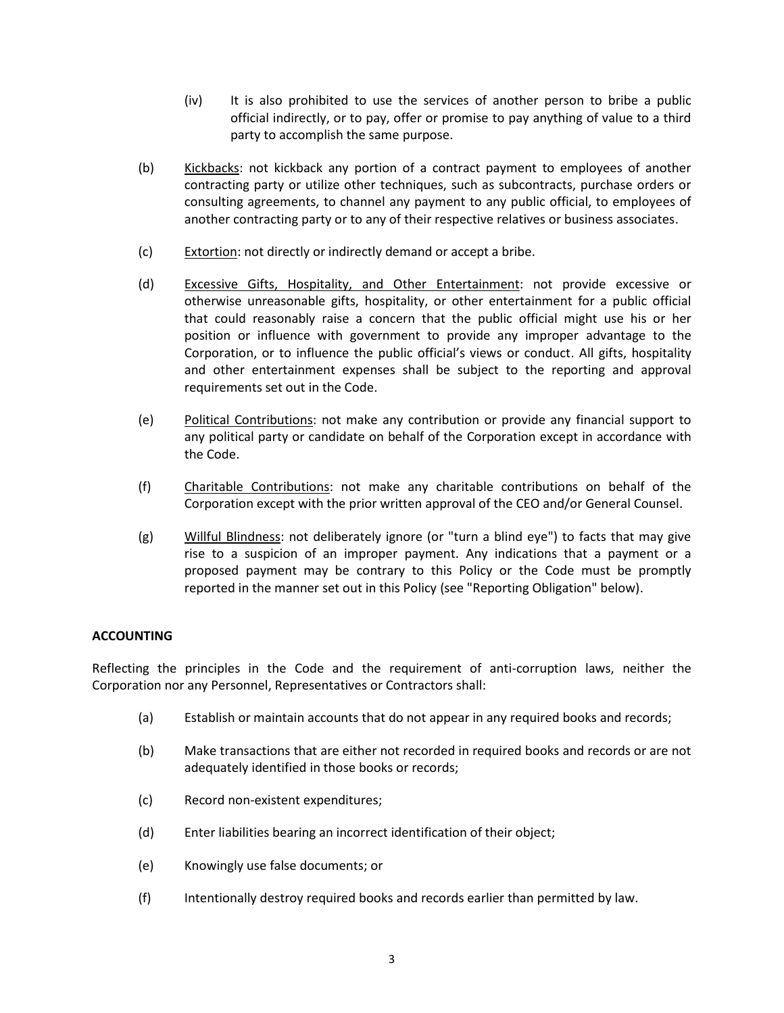- (iv) It is also prohibited to use the services of another person to bribe a public official indirectly, or to pay, offer or promise to pay anything of value to a third party to accomplish the same purpose.
- (b) Kickbacks: not kickback any portion of a contract payment to employees of another contracting party or utilize other techniques, such as subcontracts, purchase orders or consulting agreements, to channel any payment to any public official, to employees of another contracting party or to any of their respective relatives or business associates.
- (c) Extortion: not directly or indirectly demand or accept a bribe.
- (d) Excessive Gifts, Hospitality, and Other Entertainment: not provide excessive or otherwise unreasonable gifts, hospitality, or other entertainment for a public official that could reasonably raise a concern that the public official might use his or her position or influence with government to provide any improper advantage to the Corporation, or to influence the public official's views or conduct. All gifts, hospitality and other entertainment expenses shall be subject to the reporting and approval requirements set out in the Code.
- (e) Political Contributions: not make any contribution or provide any financial support to any political party or candidate on behalf of the Corporation except in accordance with the Code.
- (f) Charitable Contributions: not make any charitable contributions on behalf of the Corporation except with the prior written approval of the CEO and/or General Counsel.
- (g) Willful Blindness: not deliberately ignore (or "turn a blind eye") to facts that may give rise to a suspicion of an improper payment. Any indications that a payment or a proposed payment may be contrary to this Policy or the Code must be promptly reported in the manner set out in this Policy (see "Reporting Obligation" below).

# **ACCOUNTING**

Reflecting the principles in the Code and the requirement of anti-corruption laws, neither the Corporation nor any Personnel, Representatives or Contractors shall:

- (a) Establish or maintain accounts that do not appear in any required books and records;
- (b) Make transactions that are either not recorded in required books and records or are not adequately identified in those books or records;
- (c) Record non-existent expenditures;
- (d) Enter liabilities bearing an incorrect identification of their object;
- (e) Knowingly use false documents; or
- (f) Intentionally destroy required books and records earlier than permitted by law.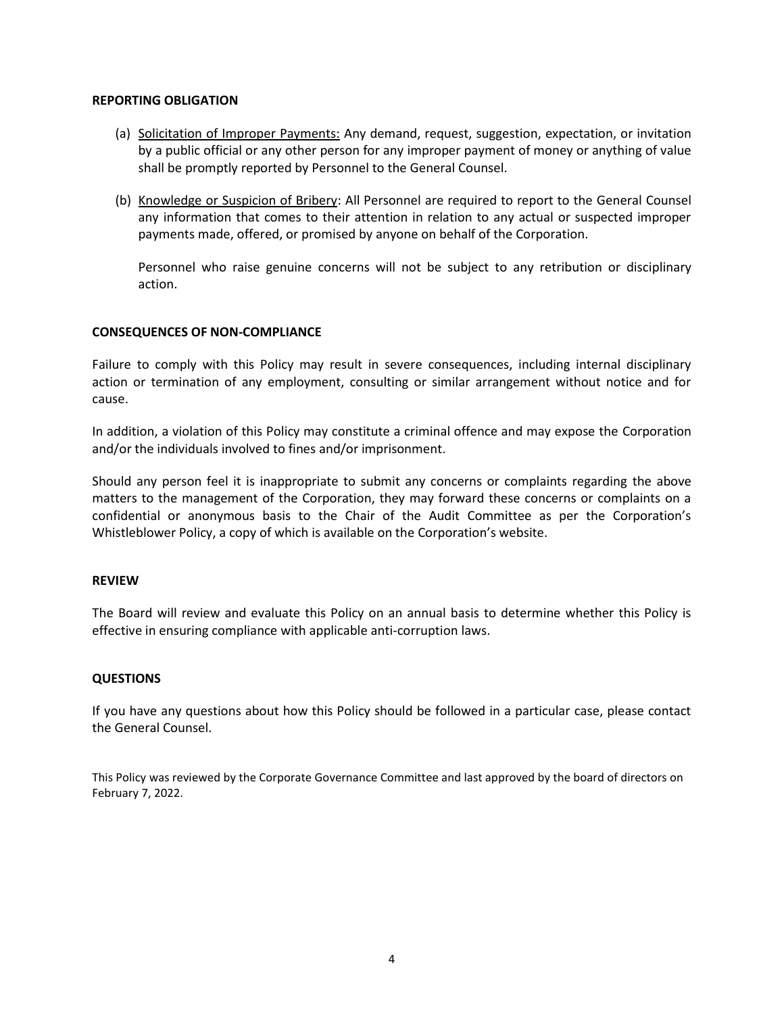## **REPORTING OBLIGATION**

- (a) Solicitation of Improper Payments: Any demand, request, suggestion, expectation, or invitation by a public official or any other person for any improper payment of money or anything of value shall be promptly reported by Personnel to the General Counsel.
- (b) Knowledge or Suspicion of Bribery: All Personnel are required to report to the General Counsel any information that comes to their attention in relation to any actual or suspected improper payments made, offered, or promised by anyone on behalf of the Corporation.

Personnel who raise genuine concerns will not be subject to any retribution or disciplinary action.

## **CONSEQUENCES OF NON-COMPLIANCE**

Failure to comply with this Policy may result in severe consequences, including internal disciplinary action or termination of any employment, consulting or similar arrangement without notice and for cause.

In addition, a violation of this Policy may constitute a criminal offence and may expose the Corporation and/or the individuals involved to fines and/or imprisonment.

Should any person feel it is inappropriate to submit any concerns or complaints regarding the above matters to the management of the Corporation, they may forward these concerns or complaints on a confidential or anonymous basis to the Chair of the Audit Committee as per the Corporation's Whistleblower Policy, a copy of which is available on the Corporation's website.

### **REVIEW**

The Board will review and evaluate this Policy on an annual basis to determine whether this Policy is effective in ensuring compliance with applicable anti-corruption laws.

# **QUESTIONS**

If you have any questions about how this Policy should be followed in a particular case, please contact the General Counsel.

This Policy was reviewed by the Corporate Governance Committee and last approved by the board of directors on February 7, 2022.